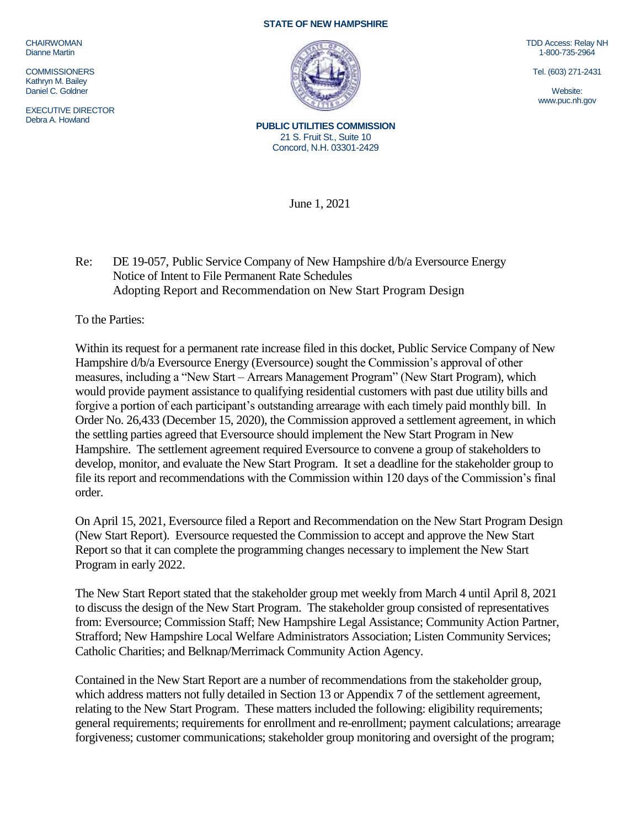CHAIRWOMAN Dianne Martin

**COMMISSIONERS** Kathryn M. Bailey Daniel C. Goldner

EXECUTIVE DIRECTOR Debra A. Howland

## **STATE OF NEW HAMPSHIRE**



TDD Access: Relay NH 1-800-735-2964

Tel. (603) 271-2431

Website: www.puc.nh.gov

**PUBLIC UTILITIES COMMISSION** 21 S. Fruit St., Suite 10 Concord, N.H. 03301-2429

June 1, 2021

Re: DE 19-057, Public Service Company of New Hampshire d/b/a Eversource Energy Notice of Intent to File Permanent Rate Schedules Adopting Report and Recommendation on New Start Program Design

To the Parties:

Within its request for a permanent rate increase filed in this docket, Public Service Company of New Hampshire d/b/a Eversource Energy (Eversource) sought the Commission's approval of other measures, including a "New Start – Arrears Management Program" (New Start Program), which would provide payment assistance to qualifying residential customers with past due utility bills and forgive a portion of each participant's outstanding arrearage with each timely paid monthly bill. In Order No. 26,433 (December 15, 2020), the Commission approved a settlement agreement, in which the settling parties agreed that Eversource should implement the New Start Program in New Hampshire. The settlement agreement required Eversource to convene a group of stakeholders to develop, monitor, and evaluate the New Start Program. It set a deadline for the stakeholder group to file its report and recommendations with the Commission within 120 days of the Commission's final order.

On April 15, 2021, Eversource filed a Report and Recommendation on the New Start Program Design (New Start Report). Eversource requested the Commission to accept and approve the New Start Report so that it can complete the programming changes necessary to implement the New Start Program in early 2022.

The New Start Report stated that the stakeholder group met weekly from March 4 until April 8, 2021 to discuss the design of the New Start Program. The stakeholder group consisted of representatives from: Eversource; Commission Staff; New Hampshire Legal Assistance; Community Action Partner, Strafford; New Hampshire Local Welfare Administrators Association; Listen Community Services; Catholic Charities; and Belknap/Merrimack Community Action Agency.

Contained in the New Start Report are a number of recommendations from the stakeholder group, which address matters not fully detailed in Section 13 or Appendix 7 of the settlement agreement, relating to the New Start Program. These matters included the following: eligibility requirements; general requirements; requirements for enrollment and re-enrollment; payment calculations; arrearage forgiveness; customer communications; stakeholder group monitoring and oversight of the program;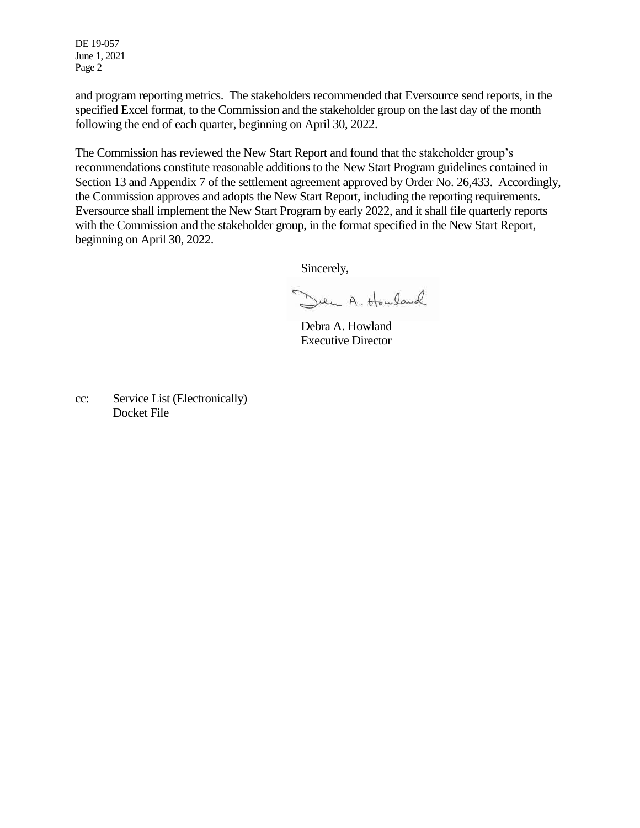DE 19-057 June 1, 2021 Page 2

and program reporting metrics. The stakeholders recommended that Eversource send reports, in the specified Excel format, to the Commission and the stakeholder group on the last day of the month following the end of each quarter, beginning on April 30, 2022.

The Commission has reviewed the New Start Report and found that the stakeholder group's recommendations constitute reasonable additions to the New Start Program guidelines contained in Section 13 and Appendix 7 of the settlement agreement approved by Order No. 26,433. Accordingly, the Commission approves and adopts the New Start Report, including the reporting requirements. Eversource shall implement the New Start Program by early 2022, and it shall file quarterly reports with the Commission and the stakeholder group, in the format specified in the New Start Report, beginning on April 30, 2022.

Sincerely,

Den A. Howland

Debra A. Howland Executive Director

cc: Service List (Electronically) Docket File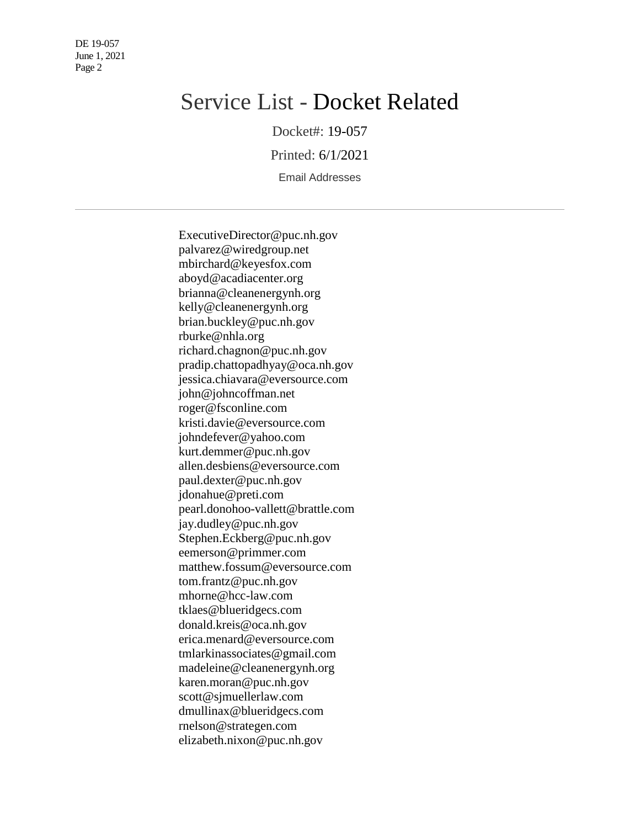DE 19-057 June 1, 2021 Page 2

## Service List - Docket Related

Docket#: 19-057

Printed: 6/1/2021

Email Addresses

ExecutiveDirector@puc.nh.gov palvarez@wiredgroup.net mbirchard@keyesfox.com aboyd@acadiacenter.org brianna@cleanenergynh.org kelly@cleanenergynh.org brian.buckley@puc.nh.gov rburke@nhla.org richard.chagnon@puc.nh.gov pradip.chattopadhyay@oca.nh.gov jessica.chiavara@eversource.com john@johncoffman.net roger@fsconline.com kristi.davie@eversource.com johndefever@yahoo.com kurt.demmer@puc.nh.gov allen.desbiens@eversource.com paul.dexter@puc.nh.gov jdonahue@preti.com pearl.donohoo-vallett@brattle.com jay.dudley@puc.nh.gov Stephen.Eckberg@puc.nh.gov eemerson@primmer.com matthew.fossum@eversource.com tom.frantz@puc.nh.gov mhorne@hcc-law.com tklaes@blueridgecs.com donald.kreis@oca.nh.gov erica.menard@eversource.com tmlarkinassociates@gmail.com madeleine@cleanenergynh.org karen.moran@puc.nh.gov scott@sjmuellerlaw.com dmullinax@blueridgecs.com rnelson@strategen.com elizabeth.nixon@puc.nh.gov